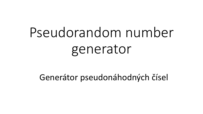# Pseudorandom number generator

Generátor pseudonáhodných čísel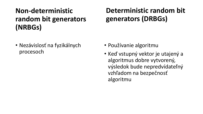#### **Non-deterministic random bit generators (NRBGs)**

• Nezávislosť na fyzikálnych procesoch

#### **Deterministic random bit generators (DRBGs)**

- Používanie algoritmu
- Keď vstupný vektor je utajený a algoritmus dobre vytvorený, výsledok bude nepredvídateľný vzhľadom na bezpečnosť algoritmu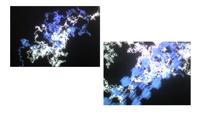

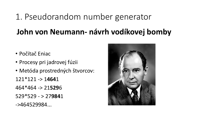## 1. Pseudorandom number generator **John von Neumann- návrh vodíkovej bomby**

- Počítač Eniac
- Procesy pri jadrovej fúzii
- Metóda prostredných štvorcov:
- 121\*121 -> 1**464**1
- 464\*464 -> 21**529**6
- 529\*529 > 27**984**1
- ->464529984...

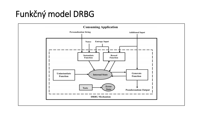## Funkčný model DRBG

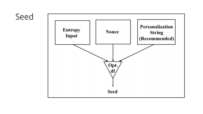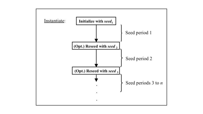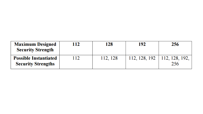| <b>Maximum Designed</b><br><b>Security Strength</b>       | 112 | 128      | 192           | 256                   |
|-----------------------------------------------------------|-----|----------|---------------|-----------------------|
| <b>Possible Instantiated</b><br><b>Security Strengths</b> | 112 | 112, 128 | 112, 128, 192 | 112, 128, 192,<br>256 |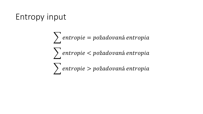## Entropy input

 $\sum_{i=1}^{n}$  entropie = požadovaná entropia  $\sum$ entropie < požadovaná entropia  $\sum_{i=1}^{\infty}$  entropie > požadovaná entropia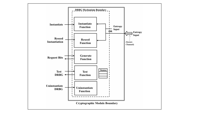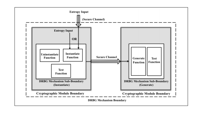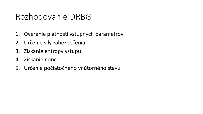### Rozhodovanie DRBG

- 1. Overenie platnosti vstupných parametrov
- 2. Určenie sily zabezpečenia
- 3. Získanie entropy vstupu
- 4. Získanie nonce
- 5. Určenie počiatočného vnútorného stavu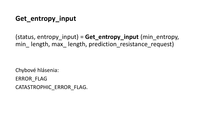#### **Get\_entropy\_input**

(status, entropy\_input) = **Get\_entropy\_input** (min\_entropy, min length, max length, prediction resistance request)

Chybové hlásenia: ERROR\_FLAG CATASTROPHIC ERROR FLAG.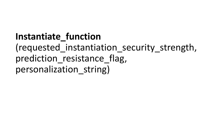## **Instantiate\_function** (requested\_instantiation\_security\_strength, prediction resistance flag, personalization string)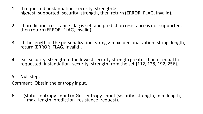- 1. If requested\_instantiation\_security\_strength > highest supported security strength, then return (ERROR FLAG, Invalid).
- 2. If prediction resistance flag is set, and prediction resistance is not supported, then return (ERROR FLAG, Invalid).
- 3. If the length of the personalization string > max personalization string length, return (ERROR\_FLAG, Invalid).
- 4. Set security\_strength to the lowest security strength greater than or equal to requested instantiation security strength from the set  $\{112, 128, 192, 256\}$ .
- 5. Null step.

Comment: Obtain the entropy input.

6. (status, entropy\_input) = Get\_entropy\_input (security\_strength, min\_length, max\_length, prediction\_resistance request).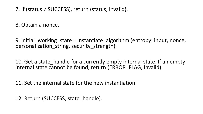7. If (status ≠ SUCCESS), return (status, Invalid).

8. Obtain a nonce.

9. initial working state = Instantiate algorithm (entropy input, nonce, personalization string, security strength).

10. Get a state handle for a currently empty internal state. If an empty internal state cannot be found, return (ERROR FLAG, Invalid).

11. Set the internal state for the new instantiation

12. Return (SUCCESS, state handle).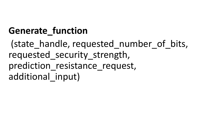## **Generate\_function**

(state handle, requested\_number\_of\_bits, requested security strength, prediction resistance request, additional input)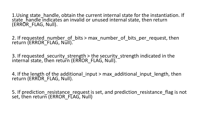1.Using state\_handle, obtain the current internal state for the instantiation. If state handle indicates an invalid or unused internal state, then return (ERROR\_FLAG, Null).

2. If requested number of bits > max number of bits per request, then return (ERROR<sup>-</sup>FLAG, Null).

3. If requested\_security\_strength > the security\_strength indicated in the  $internal state, then return (ERROR FLAG, Null).$ 

4. If the length of the additional input > max additional input length, then return (ERROR FLAG, Null).

5. If prediction resistance request is set, and prediction resistance flag is not set, then return (ERROR FLAG, Null)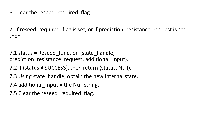6. Clear the reseed required flag

7. If reseed required flag is set, or if prediction resistance request is set, then

7.1 status = Reseed function (state handle, prediction resistance request, additional input).

7.2 If (status  $\neq$  SUCCESS), then return (status, Null).

7.3 Using state handle, obtain the new internal state.

7.4 additional input  $=$  the Null string.

7.5 Clear the reseed required flag.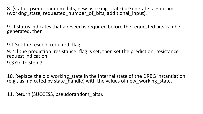8. (status, pseudorandom\_bits, new\_working\_state) = Generate\_algorithm (working\_state, requested\_number\_of\_bits, additional\_input).

9. If status indicates that a reseed is required before the requested bits can be generated, then

9.1 Set the reseed required flag.

9.2 If the prediction\_resistance\_flag is set, then set the prediction\_resistance request indication.

9.3 Go to step 7.

10. Replace the old working state in the internal state of the DRBG instantiation (e.g., as indicated by state\_handle) with the values of new\_working\_state.

11. Return (SUCCESS, pseudorandom bits).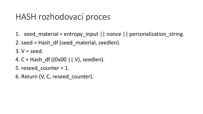### HASH rozhodovací proces

- 1. seed material = entropy input  $||$  nonce  $||$  personalization string.
- 2. seed = Hash\_df (seed\_material, seedlen).
- $3. V = seed.$
- 4. C = Hash df ((0x00 || V), seedlen).
- 5. reseed\_counter = 1.
- 6. Return (V, C, reseed\_counter).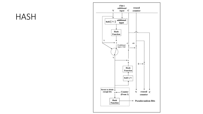#### HASH